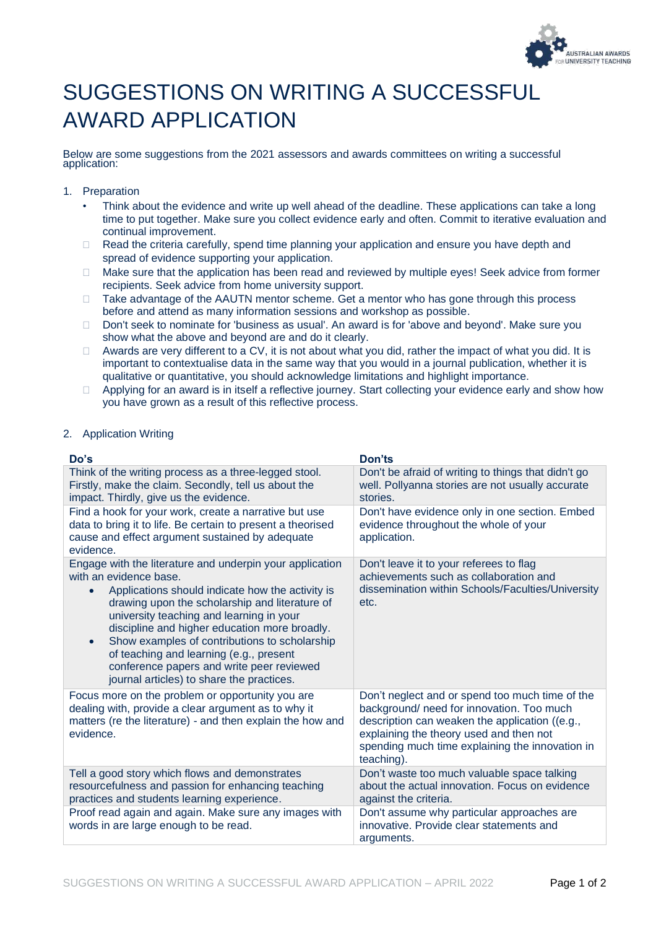

## SUGGESTIONS ON WRITING A SUCCESSFUL AWARD APPLICATION

Below are some suggestions from the 2021 assessors and awards committees on writing a successful application:

- 1. Preparation
	- Think about the evidence and write up well ahead of the deadline. These applications can take a long time to put together. Make sure you collect evidence early and often. Commit to iterative evaluation and continual improvement.
	- $\Box$  Read the criteria carefully, spend time planning your application and ensure you have depth and spread of evidence supporting your application.
	- □ Make sure that the application has been read and reviewed by multiple eyes! Seek advice from former recipients. Seek advice from home university support.
	- □ Take advantage of the AAUTN mentor scheme. Get a mentor who has gone through this process before and attend as many information sessions and workshop as possible.
	- □ Don't seek to nominate for 'business as usual'. An award is for 'above and bevond'. Make sure you show what the above and beyond are and do it clearly.
	- $\Box$  Awards are very different to a CV, it is not about what you did, rather the impact of what you did. It is important to contextualise data in the same way that you would in a journal publication, whether it is qualitative or quantitative, you should acknowledge limitations and highlight importance.
	- $\Box$  Applying for an award is in itself a reflective journey. Start collecting your evidence early and show how you have grown as a result of this reflective process.

## 2. Application Writing

| Do's                                                                                                                                                                                                                                                                                                                                                                                                                                                                                     | Don'ts                                                                                                                                                                                                                                                     |
|------------------------------------------------------------------------------------------------------------------------------------------------------------------------------------------------------------------------------------------------------------------------------------------------------------------------------------------------------------------------------------------------------------------------------------------------------------------------------------------|------------------------------------------------------------------------------------------------------------------------------------------------------------------------------------------------------------------------------------------------------------|
| Think of the writing process as a three-legged stool.<br>Firstly, make the claim. Secondly, tell us about the<br>impact. Thirdly, give us the evidence.                                                                                                                                                                                                                                                                                                                                  | Don't be afraid of writing to things that didn't go<br>well. Pollyanna stories are not usually accurate<br>stories.                                                                                                                                        |
| Find a hook for your work, create a narrative but use<br>data to bring it to life. Be certain to present a theorised<br>cause and effect argument sustained by adequate<br>evidence.                                                                                                                                                                                                                                                                                                     | Don't have evidence only in one section. Embed<br>evidence throughout the whole of your<br>application.                                                                                                                                                    |
| Engage with the literature and underpin your application<br>with an evidence base.<br>Applications should indicate how the activity is<br>drawing upon the scholarship and literature of<br>university teaching and learning in your<br>discipline and higher education more broadly.<br>Show examples of contributions to scholarship<br>$\bullet$<br>of teaching and learning (e.g., present<br>conference papers and write peer reviewed<br>journal articles) to share the practices. | Don't leave it to your referees to flag<br>achievements such as collaboration and<br>dissemination within Schools/Faculties/University<br>etc.                                                                                                             |
| Focus more on the problem or opportunity you are<br>dealing with, provide a clear argument as to why it<br>matters (re the literature) - and then explain the how and<br>evidence.                                                                                                                                                                                                                                                                                                       | Don't neglect and or spend too much time of the<br>background/ need for innovation. Too much<br>description can weaken the application ((e.g.,<br>explaining the theory used and then not<br>spending much time explaining the innovation in<br>teaching). |
| Tell a good story which flows and demonstrates<br>resourcefulness and passion for enhancing teaching<br>practices and students learning experience.                                                                                                                                                                                                                                                                                                                                      | Don't waste too much valuable space talking<br>about the actual innovation. Focus on evidence<br>against the criteria.                                                                                                                                     |
| Proof read again and again. Make sure any images with<br>words in are large enough to be read.                                                                                                                                                                                                                                                                                                                                                                                           | Don't assume why particular approaches are<br>innovative. Provide clear statements and<br>arguments.                                                                                                                                                       |